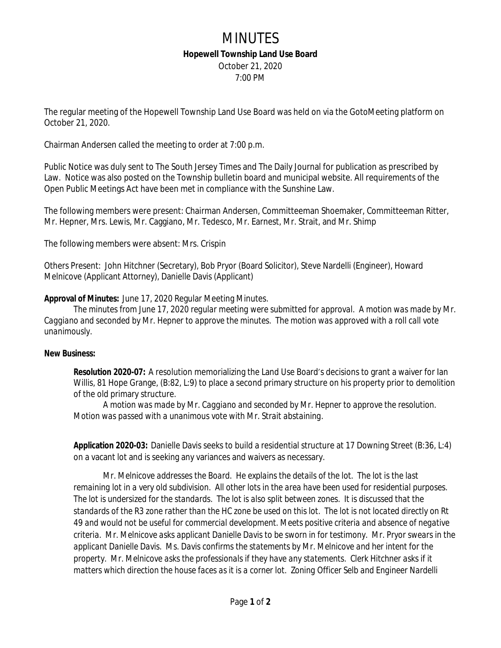## MINUTES **Hopewell Township Land Use Board** October 21, 2020

7:00 PM

The regular meeting of the Hopewell Township Land Use Board was held on via the GotoMeeting platform on October 21, 2020.

Chairman Andersen called the meeting to order at 7:00 p.m.

Public Notice was duly sent to The South Jersey Times and The Daily Journal for publication as prescribed by Law. Notice was also posted on the Township bulletin board and municipal website. All requirements of the Open Public Meetings Act have been met in compliance with the Sunshine Law.

The following members were present: Chairman Andersen, Committeeman Shoemaker, Committeeman Ritter, Mr. Hepner, Mrs. Lewis, Mr. Caggiano, Mr. Tedesco, Mr. Earnest, Mr. Strait, and Mr. Shimp

The following members were absent: Mrs. Crispin

Others Present: John Hitchner (Secretary), Bob Pryor (Board Solicitor), Steve Nardelli (Engineer), Howard Melnicove (Applicant Attorney), Danielle Davis (Applicant)

### **Approval of Minutes:** June 17, 2020 Regular Meeting Minutes.

*The minutes from June 17, 2020 regular meeting were submitted for approval. A motion was made by Mr. Caggiano and seconded by Mr. Hepner to approve the minutes. The motion was approved with a roll call vote unanimously.*

### **New Business:**

**Resolution 2020-07:** A resolution memorializing the Land Use Board's decisions to grant a waiver for Ian Willis, 81 Hope Grange, (B:82, L:9) to place a second primary structure on his property prior to demolition of the old primary structure.

*A motion was made by Mr. Caggiano and seconded by Mr. Hepner to approve the resolution. Motion was passed with a unanimous vote with Mr. Strait abstaining.*

**Application 2020-03:** Danielle Davis seeks to build a residential structure at 17 Downing Street (B:36, L:4) on a vacant lot and is seeking any variances and waivers as necessary.

*Mr. Melnicove addresses the Board. He explains the details of the lot. The lot is the last remaining lot in a very old subdivision. All other lots in the area have been used for residential purposes. The lot is undersized for the standards. The lot is also split between zones. It is discussed that the standards of the R3 zone rather than the HC zone be used on this lot. The lot is not located directly on Rt 49 and would not be useful for commercial development. Meets positive criteria and absence of negative criteria. Mr. Melnicove asks applicant Danielle Davis to be sworn in for testimony. Mr. Pryor swears in the applicant Danielle Davis. Ms. Davis confirms the statements by Mr. Melnicove and her intent for the property. Mr. Melnicove asks the professionals if they have any statements. Clerk Hitchner asks if it matters which direction the house faces as it is a corner lot. Zoning Officer Selb and Engineer Nardelli*